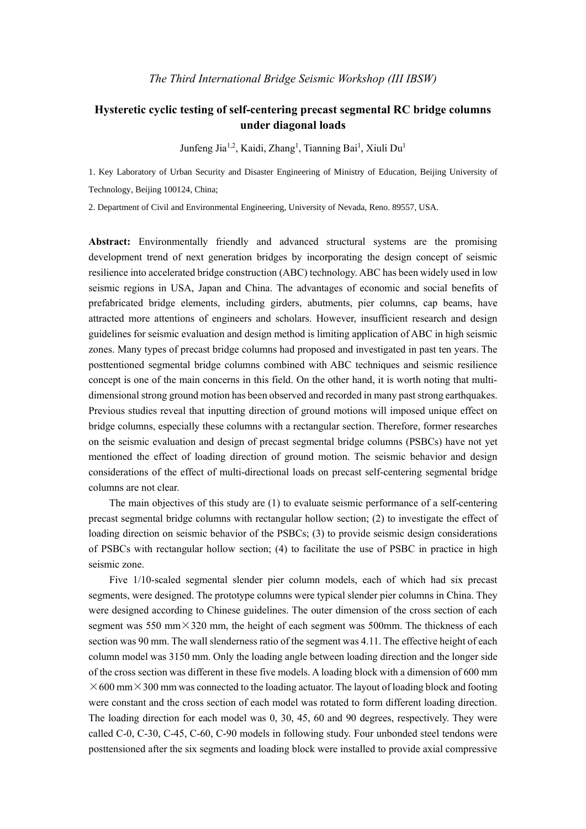## **Hysteretic cyclic testing of self-centering precast segmental RC bridge columns under diagonal loads**

Junfeng Jia<sup>1,2</sup>, Kaidi, Zhang<sup>1</sup>, Tianning Bai<sup>1</sup>, Xiuli Du<sup>1</sup>

1. Key Laboratory of Urban Security and Disaster Engineering of Ministry of Education, Beijing University of Technology, Beijing 100124, China;

2. Department of Civil and Environmental Engineering, University of Nevada, Reno. 89557, USA.

**Abstract:** Environmentally friendly and advanced structural systems are the promising development trend of next generation bridges by incorporating the design concept of seismic resilience into accelerated bridge construction (ABC) technology. ABC has been widely used in low seismic regions in USA, Japan and China. The advantages of economic and social benefits of prefabricated bridge elements, including girders, abutments, pier columns, cap beams, have attracted more attentions of engineers and scholars. However, insufficient research and design guidelines for seismic evaluation and design method is limiting application of ABC in high seismic zones. Many types of precast bridge columns had proposed and investigated in past ten years. The posttentioned segmental bridge columns combined with ABC techniques and seismic resilience concept is one of the main concerns in this field. On the other hand, it is worth noting that multidimensional strong ground motion has been observed and recorded in many past strong earthquakes. Previous studies reveal that inputting direction of ground motions will imposed unique effect on bridge columns, especially these columns with a rectangular section. Therefore, former researches on the seismic evaluation and design of precast segmental bridge columns (PSBCs) have not yet mentioned the effect of loading direction of ground motion. The seismic behavior and design considerations of the effect of multi-directional loads on precast self-centering segmental bridge columns are not clear.

The main objectives of this study are (1) to evaluate seismic performance of a self-centering precast segmental bridge columns with rectangular hollow section; (2) to investigate the effect of loading direction on seismic behavior of the PSBCs; (3) to provide seismic design considerations of PSBCs with rectangular hollow section; (4) to facilitate the use of PSBC in practice in high seismic zone.

Five 1/10-scaled segmental slender pier column models, each of which had six precast segments, were designed. The prototype columns were typical slender pier columns in China. They were designed according to Chinese guidelines. The outer dimension of the cross section of each segment was 550 mm $\times$ 320 mm, the height of each segment was 500mm. The thickness of each section was 90 mm. The wall slenderness ratio of the segment was 4.11. The effective height of each column model was 3150 mm. Only the loading angle between loading direction and the longer side of the cross section was different in these five models. A loading block with a dimension of 600 mm  $\times$ 600 mm $\times$ 300 mm was connected to the loading actuator. The layout of loading block and footing were constant and the cross section of each model was rotated to form different loading direction. The loading direction for each model was 0, 30, 45, 60 and 90 degrees, respectively. They were called C-0, C-30, C-45, C-60, C-90 models in following study. Four unbonded steel tendons were posttensioned after the six segments and loading block were installed to provide axial compressive